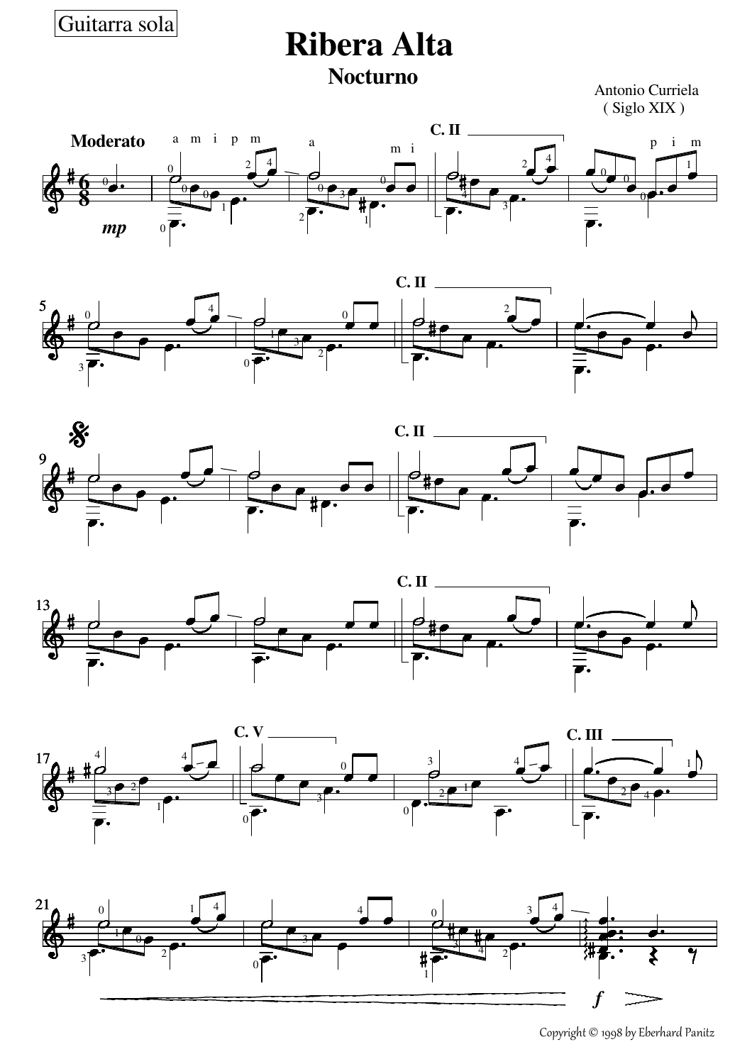Guitarra sola

## **Ribera Alta Nocturno**

Antonio Curriela ( Siglo XIX )













Copyright © 1998 by Eberhard Panitz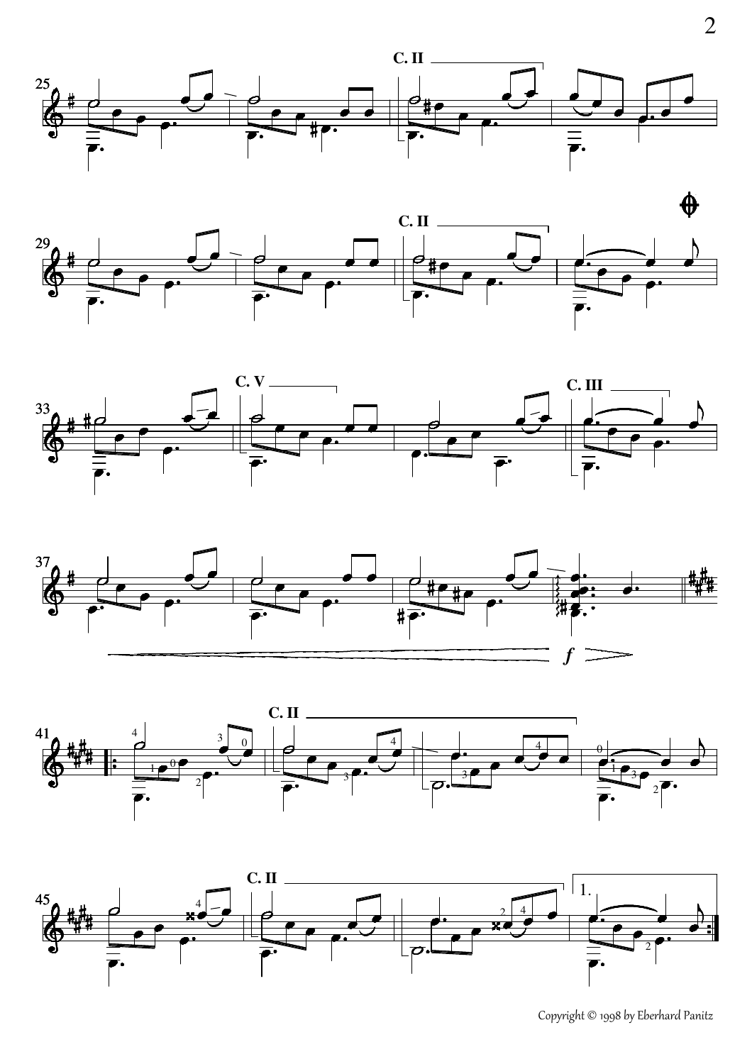











Copyright © 1998 by Eberhard Panitz